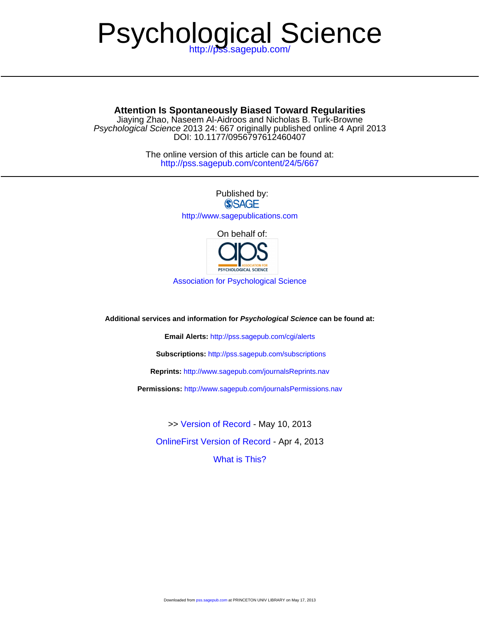# Psychological Science

# Jiaying Zhao, Naseem Al-Aidroos and Nicholas B. Turk-Browne **Attention Is Spontaneously Biased Toward Regularities**

DOI: 10.1177/0956797612460407 Psychological Science 2013 24: 667 originally published online 4 April 2013

> <http://pss.sagepub.com/content/24/5/667> The online version of this article can be found at:

> > Published by:<br>
> > SAGE <http://www.sagepublications.com> On behalf of:

> > > PSYCHOLOGICAL SCIENCE

[Association for Psychological Science](http://www.psychologicalscience.org/)

**Additional services and information for Psychological Science can be found at:**

**Email Alerts:** <http://pss.sagepub.com/cgi/alerts>

**Subscriptions:** <http://pss.sagepub.com/subscriptions>

**Reprints:** <http://www.sagepub.com/journalsReprints.nav>

**Permissions:** <http://www.sagepub.com/journalsPermissions.nav>

[OnlineFirst Version of Record -](http://pss.sagepub.com/content/early/2013/04/04/0956797612460407.full.pdf) Apr 4, 2013 >> [Version of Record -](http://pss.sagepub.com/content/24/5/667.full.pdf) May 10, 2013

[What is This?](http://online.sagepub.com/site/sphelp/vorhelp.xhtml)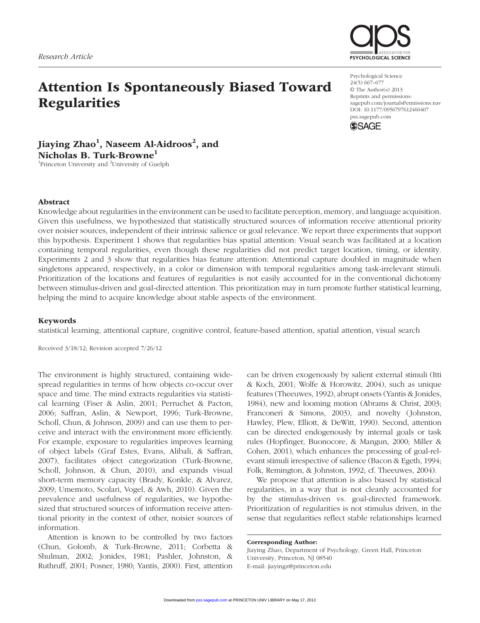

# Attention Is Spontaneously Biased Toward **Regularities**

Psychological Science 24(5) 667–677 © The Author(s) 2013 Reprints and permissions: sagepub.com/journalsPermissions.nav DOI: 10.1177/0956797612460407 pss.sagepub.com



Jiaying Zhao $^1$ , Naseem Al-Aidroos $^2$ , and Nicholas B. Turk-Browne<sup>1</sup>

<sup>1</sup>Princeton University and <sup>2</sup>University of Guelph

#### Abstract

Knowledge about regularities in the environment can be used to facilitate perception, memory, and language acquisition. Given this usefulness, we hypothesized that statistically structured sources of information receive attentional priority over noisier sources, independent of their intrinsic salience or goal relevance. We report three experiments that support this hypothesis. Experiment 1 shows that regularities bias spatial attention: Visual search was facilitated at a location containing temporal regularities, even though these regularities did not predict target location, timing, or identity. Experiments 2 and 3 show that regularities bias feature attention: Attentional capture doubled in magnitude when singletons appeared, respectively, in a color or dimension with temporal regularities among task-irrelevant stimuli. Prioritization of the locations and features of regularities is not easily accounted for in the conventional dichotomy between stimulus-driven and goal-directed attention. This prioritization may in turn promote further statistical learning, helping the mind to acquire knowledge about stable aspects of the environment.

#### Keywords

statistical learning, attentional capture, cognitive control, feature-based attention, spatial attention, visual search

Received 3/18/12; Revision accepted 7/26/12

The environment is highly structured, containing widespread regularities in terms of how objects co-occur over space and time. The mind extracts regularities via statistical learning (Fiser & Aslin, 2001; Perruchet & Pacton, 2006; Saffran, Aslin, & Newport, 1996; Turk-Browne, Scholl, Chun, & Johnson, 2009) and can use them to perceive and interact with the environment more efficiently. For example, exposure to regularities improves learning of object labels (Graf Estes, Evans, Alibali, & Saffran, 2007), facilitates object categorization (Turk-Browne, Scholl, Johnson, & Chun, 2010), and expands visual short-term memory capacity (Brady, Konkle, & Alvarez, 2009; Umemoto, Scolari, Vogel, & Awh, 2010). Given the prevalence and usefulness of regularities, we hypothesized that structured sources of information receive attentional priority in the context of other, noisier sources of information.

Attention is known to be controlled by two factors (Chun, Golomb, & Turk-Browne, 2011; Corbetta & Shulman, 2002; Jonides, 1981; Pashler, Johnston, & Ruthruff, 2001; Posner, 1980; Yantis, 2000). First, attention

can be driven exogenously by salient external stimuli (Itti & Koch, 2001; Wolfe & Horowitz, 2004), such as unique features (Theeuwes, 1992), abrupt onsets (Yantis & Jonides, 1984), new and looming motion (Abrams & Christ, 2003; Franconeri & Simons, 2003), and novelty (Johnston, Hawley, Plew, Elliott, & DeWitt, 1990). Second, attention can be directed endogenously by internal goals or task rules (Hopfinger, Buonocore, & Mangun, 2000; Miller & Cohen, 2001), which enhances the processing of goal-relevant stimuli irrespective of salience (Bacon & Egeth, 1994; Folk, Remington, & Johnston, 1992; cf. Theeuwes, 2004).

We propose that attention is also biased by statistical regularities, in a way that is not cleanly accounted for by the stimulus-driven vs. goal-directed framework. Prioritization of regularities is not stimulus driven, in the sense that regularities reflect stable relationships learned

Jiaying Zhao, Department of Psychology, Green Hall, Princeton University, Princeton, NJ 08540 E-mail: jiayingz@princeton.edu

Corresponding Author: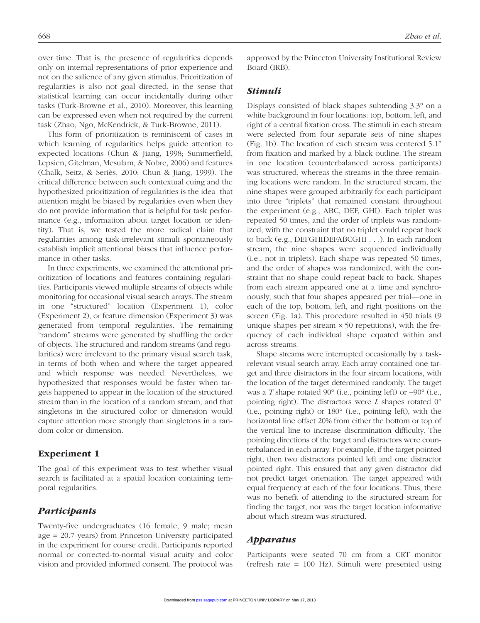over time. That is, the presence of regularities depends only on internal representations of prior experience and not on the salience of any given stimulus. Prioritization of regularities is also not goal directed, in the sense that statistical learning can occur incidentally during other tasks (Turk-Browne et al., 2010). Moreover, this learning can be expressed even when not required by the current task (Zhao, Ngo, McKendrick, & Turk-Browne, 2011).

This form of prioritization is reminiscent of cases in which learning of regularities helps guide attention to expected locations (Chun & Jiang, 1998; Summerfield, Lepsien, Gitelman, Mesulam, & Nobre, 2006) and features (Chalk, Seitz, & Seriès, 2010; Chun & Jiang, 1999). The critical difference between such contextual cuing and the hypothesized prioritization of regularities is the idea that attention might be biased by regularities even when they do not provide information that is helpful for task performance (e.g., information about target location or identity). That is, we tested the more radical claim that regularities among task-irrelevant stimuli spontaneously establish implicit attentional biases that influence performance in other tasks.

In three experiments, we examined the attentional prioritization of locations and features containing regularities. Participants viewed multiple streams of objects while monitoring for occasional visual search arrays. The stream in one "structured" location (Experiment 1), color (Experiment 2), or feature dimension (Experiment 3) was generated from temporal regularities. The remaining "random" streams were generated by shuffling the order of objects. The structured and random streams (and regularities) were irrelevant to the primary visual search task, in terms of both when and where the target appeared and which response was needed. Nevertheless, we hypothesized that responses would be faster when targets happened to appear in the location of the structured stream than in the location of a random stream, and that singletons in the structured color or dimension would capture attention more strongly than singletons in a random color or dimension.

# Experiment 1

The goal of this experiment was to test whether visual search is facilitated at a spatial location containing temporal regularities.

#### *Participants*

Twenty-five undergraduates (16 female, 9 male; mean age = 20.7 years) from Princeton University participated in the experiment for course credit. Participants reported normal or corrected-to-normal visual acuity and color vision and provided informed consent. The protocol was approved by the Princeton University Institutional Review Board (IRB).

#### *Stimuli*

Displays consisted of black shapes subtending 3.3° on a white background in four locations: top, bottom, left, and right of a central fixation cross. The stimuli in each stream were selected from four separate sets of nine shapes (Fig. 1b). The location of each stream was centered 5.1° from fixation and marked by a black outline. The stream in one location (counterbalanced across participants) was structured, whereas the streams in the three remaining locations were random. In the structured stream, the nine shapes were grouped arbitrarily for each participant into three "triplets" that remained constant throughout the experiment (e.g., ABC, DEF, GHI). Each triplet was repeated 50 times, and the order of triplets was randomized, with the constraint that no triplet could repeat back to back (e.g., DEFGHIDEFABCGHI . . .). In each random stream, the nine shapes were sequenced individually (i.e., not in triplets). Each shape was repeated 50 times, and the order of shapes was randomized, with the constraint that no shape could repeat back to back. Shapes from each stream appeared one at a time and synchronously, such that four shapes appeared per trial—one in each of the top, bottom, left, and right positions on the screen (Fig. 1a). This procedure resulted in 450 trials (9 unique shapes per stream  $\times$  50 repetitions), with the frequency of each individual shape equated within and across streams.

Shape streams were interrupted occasionally by a taskrelevant visual search array. Each array contained one target and three distractors in the four stream locations, with the location of the target determined randomly. The target was a *T* shape rotated 90° (i.e., pointing left) or −90° (i.e., pointing right). The distractors were *L* shapes rotated 0° (i.e., pointing right) or 180° (i.e., pointing left), with the horizontal line offset 20% from either the bottom or top of the vertical line to increase discrimination difficulty. The pointing directions of the target and distractors were counterbalanced in each array. For example, if the target pointed right, then two distractors pointed left and one distractor pointed right. This ensured that any given distractor did not predict target orientation. The target appeared with equal frequency at each of the four locations. Thus, there was no benefit of attending to the structured stream for finding the target, nor was the target location informative about which stream was structured.

#### *Apparatus*

Participants were seated 70 cm from a CRT monitor (refresh rate = 100 Hz). Stimuli were presented using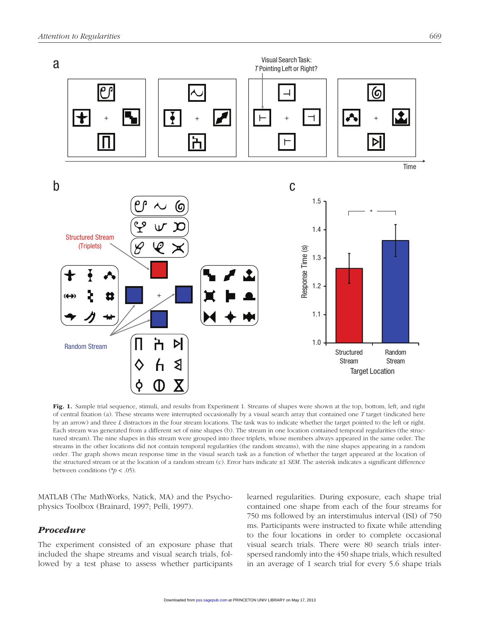

Fig. 1. Sample trial sequence, stimuli, and results from Experiment 1. Streams of shapes were shown at the top, bottom, left, and right of central fixation (a). These streams were interrupted occasionally by a visual search array that contained one *T* target (indicated here by an arrow) and three *L* distractors in the four stream locations. The task was to indicate whether the target pointed to the left or right. Each stream was generated from a different set of nine shapes (b). The stream in one location contained temporal regularities (the structured stream). The nine shapes in this stream were grouped into three triplets, whose members always appeared in the same order. The streams in the other locations did not contain temporal regularities (the random streams), with the nine shapes appearing in a random order. The graph shows mean response time in the visual search task as a function of whether the target appeared at the location of the structured stream or at the location of a random stream (c). Error bars indicate ±1 *SEM*. The asterisk indicates a significant difference between conditions (\**p* < .05).

MATLAB (The MathWorks, Natick, MA) and the Psychophysics Toolbox (Brainard, 1997; Pelli, 1997).

# *Procedure*

The experiment consisted of an exposure phase that included the shape streams and visual search trials, followed by a test phase to assess whether participants learned regularities. During exposure, each shape trial contained one shape from each of the four streams for 750 ms followed by an interstimulus interval (ISI) of 750 ms. Participants were instructed to fixate while attending to the four locations in order to complete occasional visual search trials. There were 80 search trials interspersed randomly into the 450 shape trials, which resulted in an average of 1 search trial for every 5.6 shape trials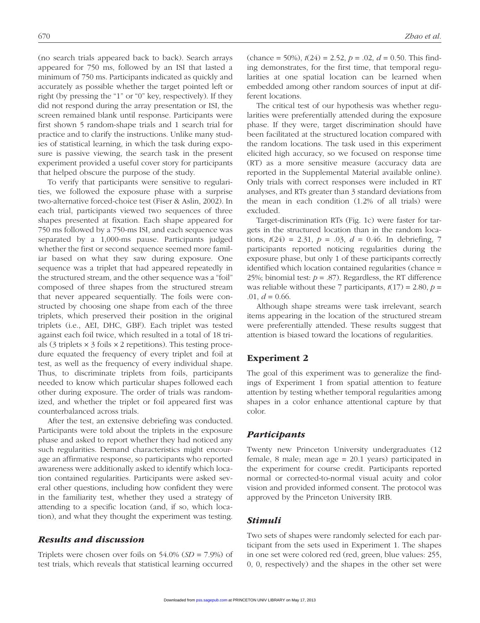(no search trials appeared back to back). Search arrays appeared for 750 ms, followed by an ISI that lasted a minimum of 750 ms. Participants indicated as quickly and accurately as possible whether the target pointed left or right (by pressing the "1" or "0" key, respectively). If they did not respond during the array presentation or ISI, the screen remained blank until response. Participants were first shown 5 random-shape trials and 1 search trial for practice and to clarify the instructions. Unlike many studies of statistical learning, in which the task during exposure is passive viewing, the search task in the present experiment provided a useful cover story for participants that helped obscure the purpose of the study.

To verify that participants were sensitive to regularities, we followed the exposure phase with a surprise two-alternative forced-choice test (Fiser & Aslin, 2002). In each trial, participants viewed two sequences of three shapes presented at fixation. Each shape appeared for 750 ms followed by a 750-ms ISI, and each sequence was separated by a 1,000-ms pause. Participants judged whether the first or second sequence seemed more familiar based on what they saw during exposure. One sequence was a triplet that had appeared repeatedly in the structured stream, and the other sequence was a "foil" composed of three shapes from the structured stream that never appeared sequentially. The foils were constructed by choosing one shape from each of the three triplets, which preserved their position in the original triplets (i.e., AEI, DHC, GBF). Each triplet was tested against each foil twice, which resulted in a total of 18 trials (3 triplets  $\times$  3 foils  $\times$  2 repetitions). This testing procedure equated the frequency of every triplet and foil at test, as well as the frequency of every individual shape. Thus, to discriminate triplets from foils, participants needed to know which particular shapes followed each other during exposure. The order of trials was randomized, and whether the triplet or foil appeared first was counterbalanced across trials.

After the test, an extensive debriefing was conducted. Participants were told about the triplets in the exposure phase and asked to report whether they had noticed any such regularities. Demand characteristics might encourage an affirmative response, so participants who reported awareness were additionally asked to identify which location contained regularities. Participants were asked several other questions, including how confident they were in the familiarity test, whether they used a strategy of attending to a specific location (and, if so, which location), and what they thought the experiment was testing.

# *Results and discussion*

Triplets were chosen over foils on 54.0% (*SD* = 7.9%) of test trials, which reveals that statistical learning occurred (chance = 50%), *t*(24) = 2.52, *p* = .02, *d* = 0.50. This finding demonstrates, for the first time, that temporal regularities at one spatial location can be learned when embedded among other random sources of input at different locations.

The critical test of our hypothesis was whether regularities were preferentially attended during the exposure phase. If they were, target discrimination should have been facilitated at the structured location compared with the random locations. The task used in this experiment elicited high accuracy, so we focused on response time (RT) as a more sensitive measure (accuracy data are reported in the Supplemental Material available online). Only trials with correct responses were included in RT analyses, and RTs greater than 3 standard deviations from the mean in each condition (1.2% of all trials) were excluded.

Target-discrimination RTs (Fig. 1c) were faster for targets in the structured location than in the random locations,  $t(24) = 2.31$ ,  $p = .03$ ,  $d = 0.46$ . In debriefing, 7 participants reported noticing regularities during the exposure phase, but only 1 of these participants correctly identified which location contained regularities (chance = 25%; binomial test:  $p = .87$ ). Regardless, the RT difference was reliable without these 7 participants,  $t(17) = 2.80$ ,  $p =$ .01,  $d = 0.66$ .

Although shape streams were task irrelevant, search items appearing in the location of the structured stream were preferentially attended. These results suggest that attention is biased toward the locations of regularities.

# Experiment 2

The goal of this experiment was to generalize the findings of Experiment 1 from spatial attention to feature attention by testing whether temporal regularities among shapes in a color enhance attentional capture by that color.

#### *Participants*

Twenty new Princeton University undergraduates (12 female, 8 male; mean age = 20.1 years) participated in the experiment for course credit. Participants reported normal or corrected-to-normal visual acuity and color vision and provided informed consent. The protocol was approved by the Princeton University IRB.

#### *Stimuli*

Two sets of shapes were randomly selected for each participant from the sets used in Experiment 1. The shapes in one set were colored red (red, green, blue values: 255, 0, 0, respectively) and the shapes in the other set were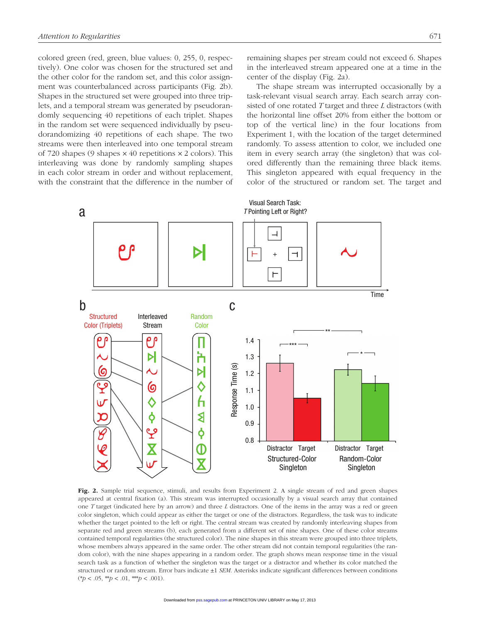colored green (red, green, blue values: 0, 255, 0, respectively). One color was chosen for the structured set and the other color for the random set, and this color assignment was counterbalanced across participants (Fig. 2b). Shapes in the structured set were grouped into three triplets, and a temporal stream was generated by pseudorandomly sequencing 40 repetitions of each triplet. Shapes in the random set were sequenced individually by pseudorandomizing 40 repetitions of each shape. The two streams were then interleaved into one temporal stream of 720 shapes (9 shapes  $\times$  40 repetitions  $\times$  2 colors). This interleaving was done by randomly sampling shapes in each color stream in order and without replacement, with the constraint that the difference in the number of

remaining shapes per stream could not exceed 6. Shapes in the interleaved stream appeared one at a time in the center of the display (Fig. 2a).

The shape stream was interrupted occasionally by a task-relevant visual search array. Each search array consisted of one rotated *T* target and three *L* distractors (with the horizontal line offset 20% from either the bottom or top of the vertical line) in the four locations from Experiment 1, with the location of the target determined randomly. To assess attention to color, we included one item in every search array (the singleton) that was colored differently than the remaining three black items. This singleton appeared with equal frequency in the color of the structured or random set. The target and



Fig. 2. Sample trial sequence, stimuli, and results from Experiment 2. A single stream of red and green shapes appeared at central fixation (a). This stream was interrupted occasionally by a visual search array that contained one *T* target (indicated here by an arrow) and three *L* distractors. One of the items in the array was a red or green color singleton, which could appear as either the target or one of the distractors. Regardless, the task was to indicate whether the target pointed to the left or right. The central stream was created by randomly interleaving shapes from separate red and green streams (b), each generated from a different set of nine shapes. One of these color streams contained temporal regularities (the structured color). The nine shapes in this stream were grouped into three triplets, whose members always appeared in the same order. The other stream did not contain temporal regularities (the random color), with the nine shapes appearing in a random order. The graph shows mean response time in the visual search task as a function of whether the singleton was the target or a distractor and whether its color matched the structured or random stream. Error bars indicate ±1 *SEM*. Asterisks indicate significant differences between conditions (\**p* < .05, \*\**p* < .01, \*\*\**p* < .001).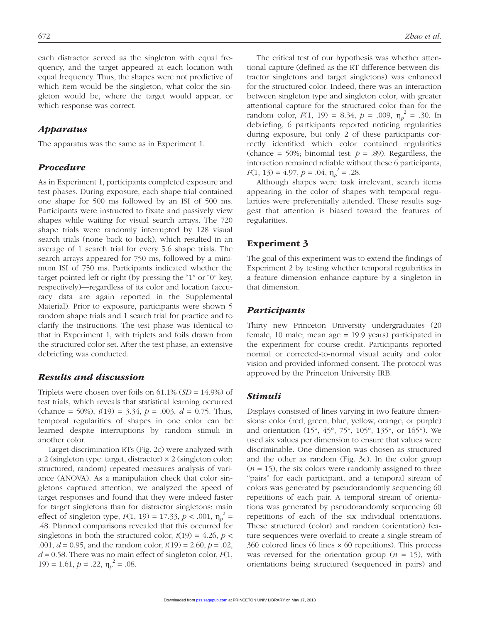each distractor served as the singleton with equal frequency, and the target appeared at each location with equal frequency. Thus, the shapes were not predictive of which item would be the singleton, what color the singleton would be, where the target would appear, or which response was correct.

#### *Apparatus*

The apparatus was the same as in Experiment 1.

#### *Procedure*

As in Experiment 1, participants completed exposure and test phases. During exposure, each shape trial contained one shape for 500 ms followed by an ISI of 500 ms. Participants were instructed to fixate and passively view shapes while waiting for visual search arrays. The 720 shape trials were randomly interrupted by 128 visual search trials (none back to back), which resulted in an average of 1 search trial for every 5.6 shape trials. The search arrays appeared for 750 ms, followed by a minimum ISI of 750 ms. Participants indicated whether the target pointed left or right (by pressing the "1" or "0" key, respectively)—regardless of its color and location (accuracy data are again reported in the Supplemental Material). Prior to exposure, participants were shown 5 random shape trials and 1 search trial for practice and to clarify the instructions. The test phase was identical to that in Experiment 1, with triplets and foils drawn from the structured color set. After the test phase, an extensive debriefing was conducted.

# *Results and discussion*

Triplets were chosen over foils on 61.1% (*SD* = 14.9%) of test trials, which reveals that statistical learning occurred (chance = 50%), *t*(19) = 3.34, *p* = .003, *d* = 0.75. Thus, temporal regularities of shapes in one color can be learned despite interruptions by random stimuli in another color.

Target-discrimination RTs (Fig. 2c) were analyzed with a 2 (singleton type: target, distractor) × 2 (singleton color: structured, random) repeated measures analysis of variance (ANOVA). As a manipulation check that color singletons captured attention, we analyzed the speed of target responses and found that they were indeed faster for target singletons than for distractor singletons: main effect of singleton type,  $F(1, 19) = 17.33, p < .001, \eta_p^2 =$ .48. Planned comparisons revealed that this occurred for singletons in both the structured color,  $t(19) = 4.26$ ,  $p <$ .001, *d* = 0.95, and the random color, *t*(19) = 2.60, *p* = .02,  $d = 0.58$ . There was no main effect of singleton color,  $F(1)$ , 19) = 1.61,  $p = .22$ ,  $\eta_p^2 = .08$ .

The critical test of our hypothesis was whether attentional capture (defined as the RT difference between distractor singletons and target singletons) was enhanced for the structured color. Indeed, there was an interaction between singleton type and singleton color, with greater attentional capture for the structured color than for the random color,  $F(1, 19) = 8.34$ ,  $p = .009$ ,  $\eta_p^2 = .30$ . In debriefing, 6 participants reported noticing regularities during exposure, but only 2 of these participants correctly identified which color contained regularities (chance = 50%; binomial test:  $p = .89$ ). Regardless, the interaction remained reliable without these 6 participants,  $F(1, 13) = 4.97, p = .04, \eta_p^2 = .28.$ 

Although shapes were task irrelevant, search items appearing in the color of shapes with temporal regularities were preferentially attended. These results suggest that attention is biased toward the features of regularities.

#### Experiment 3

The goal of this experiment was to extend the findings of Experiment 2 by testing whether temporal regularities in a feature dimension enhance capture by a singleton in that dimension.

#### *Participants*

Thirty new Princeton University undergraduates (20 female, 10 male; mean age = 19.9 years) participated in the experiment for course credit. Participants reported normal or corrected-to-normal visual acuity and color vision and provided informed consent. The protocol was approved by the Princeton University IRB.

#### *Stimuli*

Displays consisted of lines varying in two feature dimensions: color (red, green, blue, yellow, orange, or purple) and orientation (15°, 45°, 75°, 105°, 135°, or 165°). We used six values per dimension to ensure that values were discriminable. One dimension was chosen as structured and the other as random (Fig. 3c). In the color group  $(n = 15)$ , the six colors were randomly assigned to three "pairs" for each participant, and a temporal stream of colors was generated by pseudorandomly sequencing 60 repetitions of each pair. A temporal stream of orientations was generated by pseudorandomly sequencing 60 repetitions of each of the six individual orientations. These structured (color) and random (orientation) feature sequences were overlaid to create a single stream of  $360$  colored lines (6 lines  $\times 60$  repetitions). This process was reversed for the orientation group ( $n = 15$ ), with orientations being structured (sequenced in pairs) and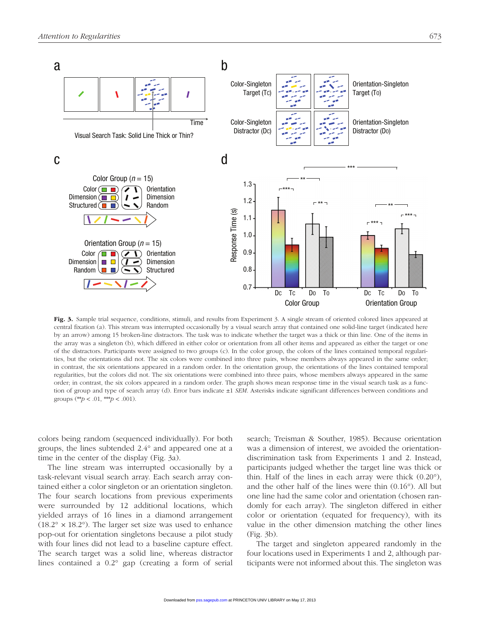

Fig. 3. Sample trial sequence, conditions, stimuli, and results from Experiment 3. A single stream of oriented colored lines appeared at central fixation (a). This stream was interrupted occasionally by a visual search array that contained one solid-line target (indicated here by an arrow) among 15 broken-line distractors. The task was to indicate whether the target was a thick or thin line. One of the items in the array was a singleton (b), which differed in either color or orientation from all other items and appeared as either the target or one of the distractors. Participants were assigned to two groups (c). In the color group, the colors of the lines contained temporal regularities, but the orientations did not. The six colors were combined into three pairs, whose members always appeared in the same order; in contrast, the six orientations appeared in a random order. In the orientation group, the orientations of the lines contained temporal regularities, but the colors did not. The six orientations were combined into three pairs, whose members always appeared in the same order; in contrast, the six colors appeared in a random order. The graph shows mean response time in the visual search task as a function of group and type of search array (d). Error bars indicate ±1 *SEM*. Asterisks indicate significant differences between conditions and groups (\*\* $p < .01$ , \*\* $p < .001$ ).

colors being random (sequenced individually). For both groups, the lines subtended 2.4° and appeared one at a time in the center of the display (Fig. 3a).

The line stream was interrupted occasionally by a task-relevant visual search array. Each search array contained either a color singleton or an orientation singleton. The four search locations from previous experiments were surrounded by 12 additional locations, which yielded arrays of 16 lines in a diamond arrangement  $(18.2^{\circ} \times 18.2^{\circ})$ . The larger set size was used to enhance pop-out for orientation singletons because a pilot study with four lines did not lead to a baseline capture effect. The search target was a solid line, whereas distractor lines contained a 0.2° gap (creating a form of serial search; Treisman & Souther, 1985). Because orientation was a dimension of interest, we avoided the orientationdiscrimination task from Experiments 1 and 2. Instead, participants judged whether the target line was thick or thin. Half of the lines in each array were thick (0.20°), and the other half of the lines were thin (0.16°). All but one line had the same color and orientation (chosen randomly for each array). The singleton differed in either color or orientation (equated for frequency), with its value in the other dimension matching the other lines (Fig. 3b).

The target and singleton appeared randomly in the four locations used in Experiments 1 and 2, although participants were not informed about this. The singleton was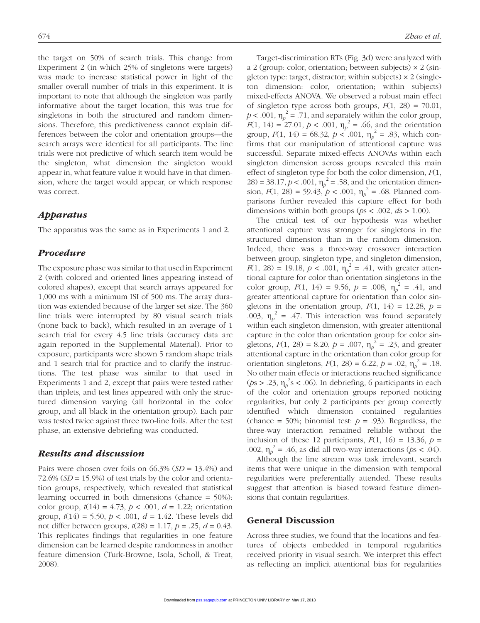the target on 50% of search trials. This change from Experiment 2 (in which 25% of singletons were targets) was made to increase statistical power in light of the smaller overall number of trials in this experiment. It is important to note that although the singleton was partly informative about the target location, this was true for singletons in both the structured and random dimensions. Therefore, this predictiveness cannot explain differences between the color and orientation groups—the search arrays were identical for all participants. The line trials were not predictive of which search item would be the singleton, what dimension the singleton would appear in, what feature value it would have in that dimension, where the target would appear, or which response was correct.

#### *Apparatus*

The apparatus was the same as in Experiments 1 and 2.

#### *Procedure*

The exposure phase was similar to that used in Experiment 2 (with colored and oriented lines appearing instead of colored shapes), except that search arrays appeared for 1,000 ms with a minimum ISI of 500 ms. The array duration was extended because of the larger set size. The 360 line trials were interrupted by 80 visual search trials (none back to back), which resulted in an average of 1 search trial for every 4.5 line trials (accuracy data are again reported in the Supplemental Material). Prior to exposure, participants were shown 5 random shape trials and 1 search trial for practice and to clarify the instructions. The test phase was similar to that used in Experiments 1 and 2, except that pairs were tested rather than triplets, and test lines appeared with only the structured dimension varying (all horizontal in the color group, and all black in the orientation group). Each pair was tested twice against three two-line foils. After the test phase, an extensive debriefing was conducted.

#### *Results and discussion*

Pairs were chosen over foils on 66.3% (*SD* = 13.4%) and 72.6% (*SD* = 15.9%) of test trials by the color and orientation groups, respectively, which revealed that statistical learning occurred in both dimensions (chance = 50%): color group,  $t(14) = 4.73$ ,  $p < .001$ ,  $d = 1.22$ ; orientation group,  $t(14) = 5.50, p < .001, d = 1.42$ . These levels did not differ between groups, *t*(28) = 1.17, *p* = .25, *d* = 0.43. This replicates findings that regularities in one feature dimension can be learned despite randomness in another feature dimension (Turk-Browne, Isola, Scholl, & Treat, 2008).

Target-discrimination RTs (Fig. 3d) were analyzed with a 2 (group: color, orientation; between subjects) × 2 (singleton type: target, distractor; within subjects)  $\times$  2 (singleton dimension: color, orientation; within subjects) mixed-effects ANOVA. We observed a robust main effect of singleton type across both groups,  $F(1, 28) = 70.01$ ,  $p < .001$ ,  $\eta_p^2 = .71$ , and separately within the color group, *F*(1, 14) = 27.01, *p* < .001,  $\eta_p^2$  = .66, and the orientation group,  $F(1, 14) = 68.32, p < .001, \eta_p^2 = .83$ , which confirms that our manipulation of attentional capture was successful. Separate mixed-effects ANOVAs within each singleton dimension across groups revealed this main effect of singleton type for both the color dimension, *F*(1,  $28$  = 38.17, *p* < .001,  $\eta_p^2$  = .58, and the orientation dimension,  $F(1, 28) = 59.43, p < .001, \eta_p^2 = .68$ . Planned comparisons further revealed this capture effect for both dimensions within both groups ( $ps < .002$ ,  $ds > 1.00$ ).

The critical test of our hypothesis was whether attentional capture was stronger for singletons in the structured dimension than in the random dimension. Indeed, there was a three-way crossover interaction between group, singleton type, and singleton dimension, *F*(1, 28) = 19.18, *p* < .001,  $\eta_p^2$  = .41, with greater attentional capture for color than orientation singletons in the color group,  $F(1, 14) = 9.56$ ,  $p = .008$ ,  $\eta_p^2 = .41$ , and greater attentional capture for orientation than color singletons in the orientation group,  $F(1, 14) = 12.28$ ,  $p =$ .003,  $\eta_p^2 = .47$ . This interaction was found separately within each singleton dimension, with greater attentional capture in the color than orientation group for color singletons,  $F(1, 28) = 8.20$ ,  $p = .007$ ,  $\eta_p^2 = .23$ , and greater attentional capture in the orientation than color group for orientation singletons,  $F(1, 28) = 6.22$ ,  $p = .02$ ,  $\eta_p^2 = .18$ . No other main effects or interactions reached significance ( $ps$  > .23,  $\eta_p^2 s$  < .06). In debriefing, 6 participants in each of the color and orientation groups reported noticing regularities, but only 2 participants per group correctly identified which dimension contained regularities (chance = 50%; binomial test:  $p = .93$ ). Regardless, the three-way interaction remained reliable without the inclusion of these 12 participants,  $F(1, 16) = 13.36$ ,  $p =$ .002,  $\eta_p^2$  = .46, as did all two-way interactions (*ps* < .04).

Although the line stream was task irrelevant, search items that were unique in the dimension with temporal regularities were preferentially attended. These results suggest that attention is biased toward feature dimensions that contain regularities.

#### General Discussion

Across three studies, we found that the locations and features of objects embedded in temporal regularities received priority in visual search. We interpret this effect as reflecting an implicit attentional bias for regularities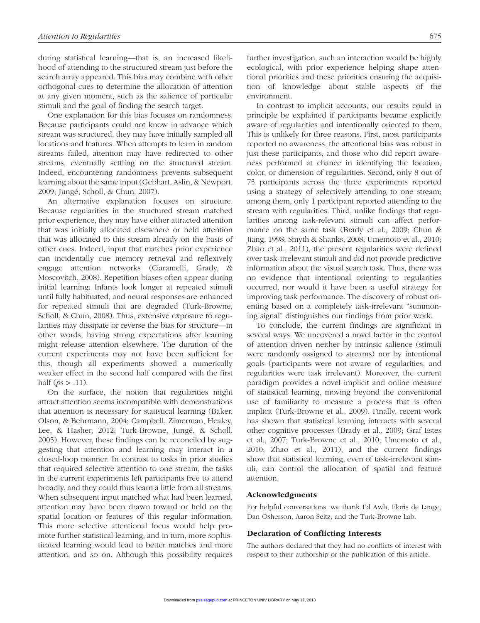during statistical learning—that is, an increased likelihood of attending to the structured stream just before the search array appeared. This bias may combine with other orthogonal cues to determine the allocation of attention at any given moment, such as the salience of particular stimuli and the goal of finding the search target.

One explanation for this bias focuses on randomness. Because participants could not know in advance which stream was structured, they may have initially sampled all locations and features. When attempts to learn in random streams failed, attention may have redirected to other streams, eventually settling on the structured stream. Indeed, encountering randomness prevents subsequent learning about the same input (Gebhart, Aslin, & Newport, 2009; Jungé, Scholl, & Chun, 2007).

An alternative explanation focuses on structure. Because regularities in the structured stream matched prior experience, they may have either attracted attention that was initially allocated elsewhere or held attention that was allocated to this stream already on the basis of other cues. Indeed, input that matches prior experience can incidentally cue memory retrieval and reflexively engage attention networks (Ciaramelli, Grady, & Moscovitch, 2008). Repetition biases often appear during initial learning: Infants look longer at repeated stimuli until fully habituated, and neural responses are enhanced for repeated stimuli that are degraded (Turk-Browne, Scholl, & Chun, 2008). Thus, extensive exposure to regularities may dissipate or reverse the bias for structure—in other words, having strong expectations after learning might release attention elsewhere. The duration of the current experiments may not have been sufficient for this, though all experiments showed a numerically weaker effect in the second half compared with the first half ( $ps > .11$ ).

On the surface, the notion that regularities might attract attention seems incompatible with demonstrations that attention is necessary for statistical learning (Baker, Olson, & Behrmann, 2004; Campbell, Zimerman, Healey, Lee, & Hasher, 2012; Turk-Browne, Jungé, & Scholl, 2005). However, these findings can be reconciled by suggesting that attention and learning may interact in a closed-loop manner: In contrast to tasks in prior studies that required selective attention to one stream, the tasks in the current experiments left participants free to attend broadly, and they could thus learn a little from all streams. When subsequent input matched what had been learned, attention may have been drawn toward or held on the spatial location or features of this regular information. This more selective attentional focus would help promote further statistical learning, and in turn, more sophisticated learning would lead to better matches and more attention, and so on. Although this possibility requires further investigation, such an interaction would be highly ecological, with prior experience helping shape attentional priorities and these priorities ensuring the acquisition of knowledge about stable aspects of the environment.

In contrast to implicit accounts, our results could in principle be explained if participants became explicitly aware of regularities and intentionally oriented to them. This is unlikely for three reasons. First, most participants reported no awareness, the attentional bias was robust in just these participants, and those who did report awareness performed at chance in identifying the location, color, or dimension of regularities. Second, only 8 out of 75 participants across the three experiments reported using a strategy of selectively attending to one stream; among them, only 1 participant reported attending to the stream with regularities. Third, unlike findings that regularities among task-relevant stimuli can affect performance on the same task (Brady et al., 2009; Chun & Jiang, 1998; Smyth & Shanks, 2008; Umemoto et al., 2010; Zhao et al., 2011), the present regularities were defined over task-irrelevant stimuli and did not provide predictive information about the visual search task. Thus, there was no evidence that intentional orienting to regularities occurred, nor would it have been a useful strategy for improving task performance. The discovery of robust orienting based on a completely task-irrelevant "summoning signal" distinguishes our findings from prior work.

To conclude, the current findings are significant in several ways. We uncovered a novel factor in the control of attention driven neither by intrinsic salience (stimuli were randomly assigned to streams) nor by intentional goals (participants were not aware of regularities, and regularities were task irrelevant). Moreover, the current paradigm provides a novel implicit and online measure of statistical learning, moving beyond the conventional use of familiarity to measure a process that is often implicit (Turk-Browne et al., 2009). Finally, recent work has shown that statistical learning interacts with several other cognitive processes (Brady et al., 2009; Graf Estes et al., 2007; Turk-Browne et al., 2010; Umemoto et al., 2010; Zhao et al., 2011), and the current findings show that statistical learning, even of task-irrelevant stimuli, can control the allocation of spatial and feature attention.

#### Acknowledgments

For helpful conversations, we thank Ed Awh, Floris de Lange, Dan Osherson, Aaron Seitz, and the Turk-Browne Lab.

#### Declaration of Conflicting Interests

The authors declared that they had no conflicts of interest with respect to their authorship or the publication of this article.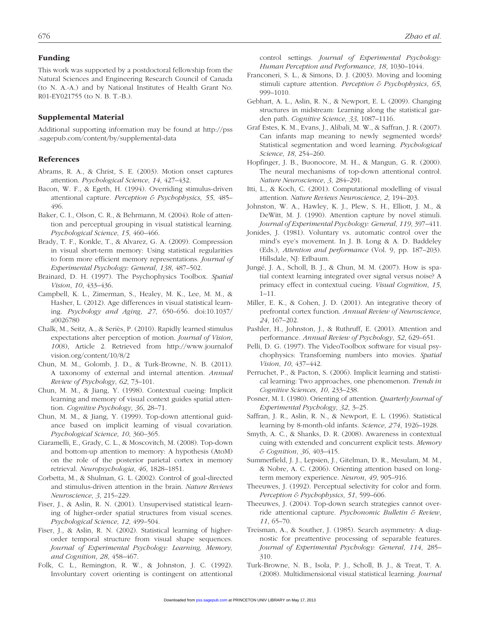#### Funding

This work was supported by a postdoctoral fellowship from the Natural Sciences and Engineering Research Council of Canada (to N. A.-A.) and by National Institutes of Health Grant No. R01-EY021755 (to N. B. T.-B.).

#### Supplemental Material

Additional supporting information may be found at http://pss .sagepub.com/content/by/supplemental-data

#### References

- Abrams, R. A., & Christ, S. E. (2003). Motion onset captures attention. *Psychological Science*, *14*, 427–432.
- Bacon, W. F., & Egeth, H. (1994). Overriding stimulus-driven attentional capture. *Perception & Psychophysics*, *55*, 485– 496.
- Baker, C. I., Olson, C. R., & Behrmann, M. (2004). Role of attention and perceptual grouping in visual statistical learning. *Psychological Science*, *15*, 460–466.
- Brady, T. F., Konkle, T., & Alvarez, G. A. (2009). Compression in visual short-term memory: Using statistical regularities to form more efficient memory representations. *Journal of Experimental Psychology: General*, *138*, 487–502.
- Brainard, D. H. (1997). The Psychophysics Toolbox. *Spatial Vision*, *10*, 433–436.
- Campbell, K. L., Zimerman, S., Healey, M. K., Lee, M. M., & Hasher, L. (2012). Age differences in visual statistical learning. *Psychology and Aging*, *27*, 650–656. doi:10.1037/ a0026780
- Chalk, M., Seitz, A., & Seriès, P. (2010). Rapidly learned stimulus expectations alter perception of motion. *Journal of Vision*, *10*(8), Article 2. Retrieved from http://www.journalof vision.org/content/10/8/2
- Chun, M. M., Golomb, J. D., & Turk-Browne, N. B. (2011). A taxonomy of external and internal attention. *Annual Review of Psychology*, *62*, 73–101.
- Chun, M. M., & Jiang, Y. (1998). Contextual cueing: Implicit learning and memory of visual context guides spatial attention. *Cognitive Psychology*, *36*, 28–71.
- Chun, M. M., & Jiang, Y. (1999). Top-down attentional guidance based on implicit learning of visual covariation. *Psychological Science*, *10*, 360–365.
- Ciaramelli, E., Grady, C. L., & Moscovitch, M. (2008). Top-down and bottom-up attention to memory: A hypothesis (AtoM) on the role of the posterior parietal cortex in memory retrieval. *Neuropsychologia*, *46*, 1828–1851.
- Corbetta, M., & Shulman, G. L. (2002). Control of goal-directed and stimulus-driven attention in the brain. *Nature Reviews Neuroscience*, *3*, 215–229.
- Fiser, J., & Aslin, R. N. (2001). Unsupervised statistical learning of higher-order spatial structures from visual scenes. *Psychological Science*, *12*, 499–504.
- Fiser, J., & Aslin, R. N. (2002). Statistical learning of higherorder temporal structure from visual shape sequences. *Journal of Experimental Psychology: Learning, Memory, and Cognition*, *28*, 458–467.
- Folk, C. L., Remington, R. W., & Johnston, J. C. (1992). Involuntary covert orienting is contingent on attentional

control settings. *Journal of Experimental Psychology: Human Perception and Performance*, *18*, 1030–1044.

- Franconeri, S. L., & Simons, D. J. (2003). Moving and looming stimuli capture attention. *Perception & Psychophysics*, *65*, 999–1010.
- Gebhart, A. L., Aslin, R. N., & Newport, E. L. (2009). Changing structures in midstream: Learning along the statistical garden path. *Cognitive Science*, *33*, 1087–1116.
- Graf Estes, K. M., Evans, J., Alibali, M. W., & Saffran, J. R. (2007). Can infants map meaning to newly segmented words? Statistical segmentation and word learning. *Psychological Science*, *18*, 254–260.
- Hopfinger, J. B., Buonocore, M. H., & Mangun, G. R. (2000). The neural mechanisms of top-down attentional control. *Nature Neuroscience*, *3*, 284–291.
- Itti, L., & Koch, C. (2001). Computational modelling of visual attention. *Nature Reviews Neuroscience*, *2*, 194–203.
- Johnston, W. A., Hawley, K. J., Plew, S. H., Elliott, J. M., & DeWitt, M. J. (1990). Attention capture by novel stimuli. *Journal of Experimental Psychology: General*, *119*, 397–411.
- Jonides, J. (1981). Voluntary vs. automatic control over the mind's eye's movement. In J. B. Long & A. D. Baddeley (Eds.), *Attention and performance* (Vol. 9, pp. 187–203). Hillsdale, NJ: Erlbaum.
- Jungé, J. A., Scholl, B. J., & Chun, M. M. (2007). How is spatial context learning integrated over signal versus noise? A primacy effect in contextual cueing. *Visual Cognition*, *15*, 1–11.
- Miller, E. K., & Cohen, J. D. (2001). An integrative theory of prefrontal cortex function. *Annual Review of Neuroscience*, *24*, 167–202.
- Pashler, H., Johnston, J., & Ruthruff, E. (2001). Attention and performance. *Annual Review of Psychology*, *52*, 629–651.
- Pelli, D. G. (1997). The VideoToolbox software for visual psychophysics: Transforming numbers into movies. *Spatial Vision*, *10*, 437–442.
- Perruchet, P., & Pacton, S. (2006). Implicit learning and statistical learning: Two approaches, one phenomenon. *Trends in Cognitive Sciences*, *10*, 233–238.
- Posner, M. I. (1980). Orienting of attention. *Quarterly Journal of Experimental Psychology*, *32*, 3–25.
- Saffran, J. R., Aslin, R. N., & Newport, E. L. (1996). Statistical learning by 8-month-old infants. *Science*, *274*, 1926–1928.
- Smyth, A. C., & Shanks, D. R. (2008). Awareness in contextual cuing with extended and concurrent explicit tests. *Memory & Cognition*, *36*, 403–415.
- Summerfield, J. J., Lepsien, J., Gitelman, D. R., Mesulam, M. M., & Nobre, A. C. (2006). Orienting attention based on longterm memory experience. *Neuron*, *49*, 905–916.
- Theeuwes, J. (1992). Perceptual selectivity for color and form. *Perception & Psychophysics*, *51*, 599–606.
- Theeuwes, J. (2004). Top-down search strategies cannot override attentional capture. *Psychonomic Bulletin & Review*, *11*, 65–70.
- Treisman, A., & Souther, J. (1985). Search asymmetry: A diagnostic for preattentive processing of separable features. *Journal of Experimental Psychology: General*, *114*, 285– 310.
- Turk-Browne, N. B., Isola, P. J., Scholl, B. J., & Treat, T. A. (2008). Multidimensional visual statistical learning. *Journal*